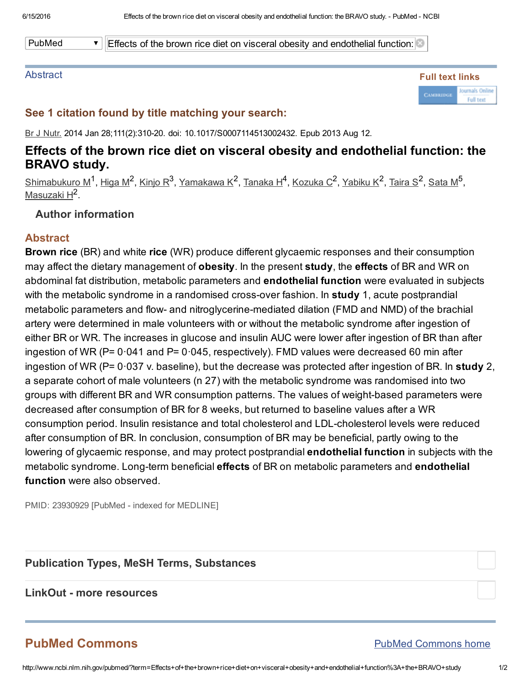PubMed  $\blacksquare$  Effects of the brown rice diet on visceral obesity and endothelial function:

#### **Abstract**



## See 1 citation found by title matching your search:

Br J Nutr. 2014 Jan 28;111(2):310-20. doi: 10.1017/S0007114513002432. Epub 2013 Aug 12.

## Effects of the brown rice diet on visceral obesity and endothelial function: the BRAVO study.

<u>[Shimabukuro](http://www.ncbi.nlm.nih.gov/pubmed/?term=Shimabukuro%20M%5BAuthor%5D&cauthor=true&cauthor_uid=23930929) M $^1$ , [Higa](http://www.ncbi.nlm.nih.gov/pubmed/?term=Higa%20M%5BAuthor%5D&cauthor=true&cauthor_uid=23930929) M $^2$ , [Kinjo](http://www.ncbi.nlm.nih.gov/pubmed/?term=Kinjo%20R%5BAuthor%5D&cauthor=true&cauthor_uid=23930929) R $^3$ , [Yamakawa](http://www.ncbi.nlm.nih.gov/pubmed/?term=Yamakawa%20K%5BAuthor%5D&cauthor=true&cauthor_uid=23930929) K $^2$ , [Tanaka](http://www.ncbi.nlm.nih.gov/pubmed/?term=Tanaka%20H%5BAuthor%5D&cauthor=true&cauthor_uid=23930929) H $^4$ , [Kozuka](http://www.ncbi.nlm.nih.gov/pubmed/?term=Kozuka%20C%5BAuthor%5D&cauthor=true&cauthor_uid=23930929) C $^2$ , [Yabiku](http://www.ncbi.nlm.nih.gov/pubmed/?term=Yabiku%20K%5BAuthor%5D&cauthor=true&cauthor_uid=23930929) K $^2$ , [Taira](http://www.ncbi.nlm.nih.gov/pubmed/?term=Taira%20S%5BAuthor%5D&cauthor=true&cauthor_uid=23930929) S $^2$ , [Sata](http://www.ncbi.nlm.nih.gov/pubmed/?term=Sata%20M%5BAuthor%5D&cauthor=true&cauthor_uid=23930929) M $^5$ ,</u> <u>[Masuzaki](http://www.ncbi.nlm.nih.gov/pubmed/?term=Masuzaki%20H%5BAuthor%5D&cauthor=true&cauthor_uid=23930929) H</u><sup>2</sup>.

## Author information

## Abstract

Brown rice (BR) and white rice (WR) produce different glycaemic responses and their consumption may affect the dietary management of obesity. In the present study, the effects of BR and WR on abdominal fat distribution, metabolic parameters and endothelial function were evaluated in subjects with the metabolic syndrome in a randomised cross-over fashion. In study 1, acute postprandial metabolic parameters and flow- and nitroglycerine-mediated dilation (FMD and NMD) of the brachial artery were determined in male volunteers with or without the metabolic syndrome after ingestion of either BR or WR. The increases in glucose and insulin AUC were lower after ingestion of BR than after ingestion of WR ( $P= 0.041$  and  $P= 0.045$ , respectively). FMD values were decreased 60 min after ingestion of WR (P= 0.037 v. baseline), but the decrease was protected after ingestion of BR. In study 2, a separate cohort of male volunteers (n 27) with the metabolic syndrome was randomised into two groups with different BR and WR consumption patterns. The values of weight-based parameters were decreased after consumption of BR for 8 weeks, but returned to baseline values after a WR consumption period. Insulin resistance and total cholesterol and LDL-cholesterol levels were reduced after consumption of BR. In conclusion, consumption of BR may be beneficial, partly owing to the lowering of glycaemic response, and may protect postprandial endothelial function in subjects with the metabolic syndrome. Long-term beneficial effects of BR on metabolic parameters and endothelial function were also observed.

PMID: 23930929 [PubMed - indexed for MEDLINE]

#### Publication Types, MeSH Terms, Substances

#### LinkOut - more resources

# PubMed Commons

#### PubMed [Commons](http://www.ncbi.nlm.nih.gov/pubmedcommons/) home